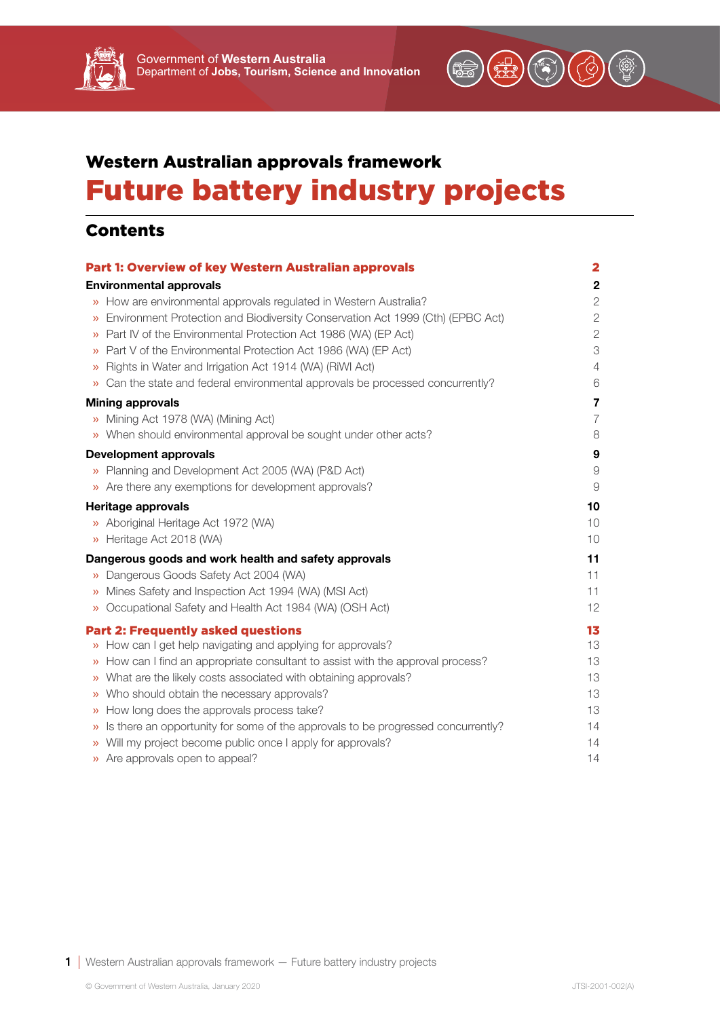

# Western Australian approvals framework Future battery industry projects

# Contents

| <b>Part 1: Overview of key Western Australian approvals</b><br><b>Environmental approvals</b> |                                                                                  | $\mathbf{2}$   |
|-----------------------------------------------------------------------------------------------|----------------------------------------------------------------------------------|----------------|
|                                                                                               |                                                                                  | $\mathbf 2$    |
| $\mathcal{V}$                                                                                 | How are environmental approvals regulated in Western Australia?                  | $\mathbf{2}$   |
| $\mathcal{V}$                                                                                 | Environment Protection and Biodiversity Conservation Act 1999 (Cth) (EPBC Act)   | $\overline{2}$ |
| »                                                                                             | Part IV of the Environmental Protection Act 1986 (WA) (EP Act)                   | $\mathbf{2}$   |
| $\gg$                                                                                         | Part V of the Environmental Protection Act 1986 (WA) (EP Act)                    | 3              |
| $\lambda$                                                                                     | Rights in Water and Irrigation Act 1914 (WA) (RiWI Act)                          | $\overline{4}$ |
|                                                                                               | Can the state and federal environmental approvals be processed concurrently?     | 6              |
|                                                                                               | <b>Mining approvals</b>                                                          | $\overline{7}$ |
|                                                                                               | » Mining Act 1978 (WA) (Mining Act)                                              | $\overline{7}$ |
|                                                                                               | » When should environmental approval be sought under other acts?                 | 8              |
|                                                                                               | <b>Development approvals</b>                                                     | 9              |
|                                                                                               | » Planning and Development Act 2005 (WA) (P&D Act)                               | $\Theta$       |
|                                                                                               | » Are there any exemptions for development approvals?                            | $\mathcal{G}$  |
| Heritage approvals                                                                            |                                                                                  | 10             |
|                                                                                               | » Aboriginal Heritage Act 1972 (WA)                                              | 10             |
|                                                                                               | » Heritage Act 2018 (WA)                                                         | 10             |
| Dangerous goods and work health and safety approvals                                          |                                                                                  | 11             |
| $\gg$                                                                                         | Dangerous Goods Safety Act 2004 (WA)                                             | 11             |
| $\lambda$                                                                                     | Mines Safety and Inspection Act 1994 (WA) (MSI Act)                              | 11             |
| $\lambda$                                                                                     | Occupational Safety and Health Act 1984 (WA) (OSH Act)                           | 12             |
|                                                                                               | <b>Part 2: Frequently asked questions</b>                                        | 13             |
|                                                                                               | » How can I get help navigating and applying for approvals?                      | 13             |
|                                                                                               | How can I find an appropriate consultant to assist with the approval process?    | 13             |
| $\rangle$                                                                                     | What are the likely costs associated with obtaining approvals?                   | 13             |
| $\rangle$                                                                                     | Who should obtain the necessary approvals?                                       | 13             |
|                                                                                               | >> How long does the approvals process take?                                     | 13             |
| $\rangle$                                                                                     | Is there an opportunity for some of the approvals to be progressed concurrently? | 14             |
|                                                                                               | » Will my project become public once I apply for approvals?                      | 14             |
|                                                                                               | » Are approvals open to appeal?                                                  | 14             |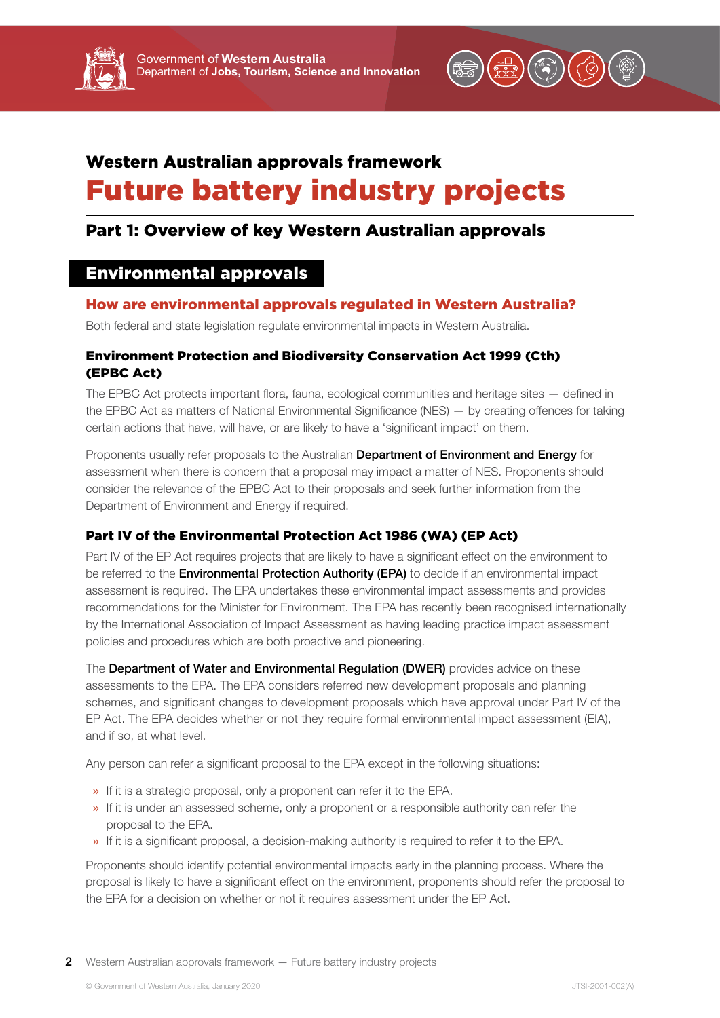

# <span id="page-1-0"></span>Western Australian approvals framework Future battery industry projects

# Part 1: Overview of key Western Australian approvals

# Environmental approvals

# How are environmental approvals regulated in Western Australia?

Both federal and state legislation regulate environmental impacts in Western Australia.

# Environment Protection and Biodiversity Conservation Act 1999 (Cth) (EPBC Act)

The EPBC Act protects important flora, fauna, ecological communities and heritage sites — defined in the EPBC Act as matters of National Environmental Significance (NES) — by creating offences for taking certain actions that have, will have, or are likely to have a 'significant impact' on them.

Proponents usually refer proposals to the Australian Department of Environment and Energy for assessment when there is concern that a proposal may impact a matter of NES. Proponents should consider the relevance of the EPBC Act to their proposals and seek further information from the Department of Environment and Energy if required.

# Part IV of the Environmental Protection Act 1986 (WA) (EP Act)

Part IV of the EP Act requires projects that are likely to have a significant effect on the environment to be referred to the **Environmental Protection Authority (EPA)** to decide if an environmental impact assessment is required. The EPA undertakes these environmental impact assessments and provides recommendations for the Minister for Environment. The EPA has recently been recognised internationally by the International Association of Impact Assessment as having leading practice impact assessment policies and procedures which are both proactive and pioneering.

The Department of Water and Environmental Regulation (DWER) provides advice on these assessments to the EPA. The EPA considers referred new development proposals and planning schemes, and significant changes to development proposals which have approval under Part IV of the EP Act. The EPA decides whether or not they require formal environmental impact assessment (EIA), and if so, at what level.

Any person can refer a significant proposal to the EPA except in the following situations:

- » If it is a strategic proposal, only a proponent can refer it to the EPA.
- » If it is under an assessed scheme, only a proponent or a responsible authority can refer the proposal to the EPA.
- » If it is a significant proposal, a decision-making authority is required to refer it to the EPA.

Proponents should identify potential environmental impacts early in the planning process. Where the proposal is likely to have a significant effect on the environment, proponents should refer the proposal to the EPA for a decision on whether or not it requires assessment under the EP Act.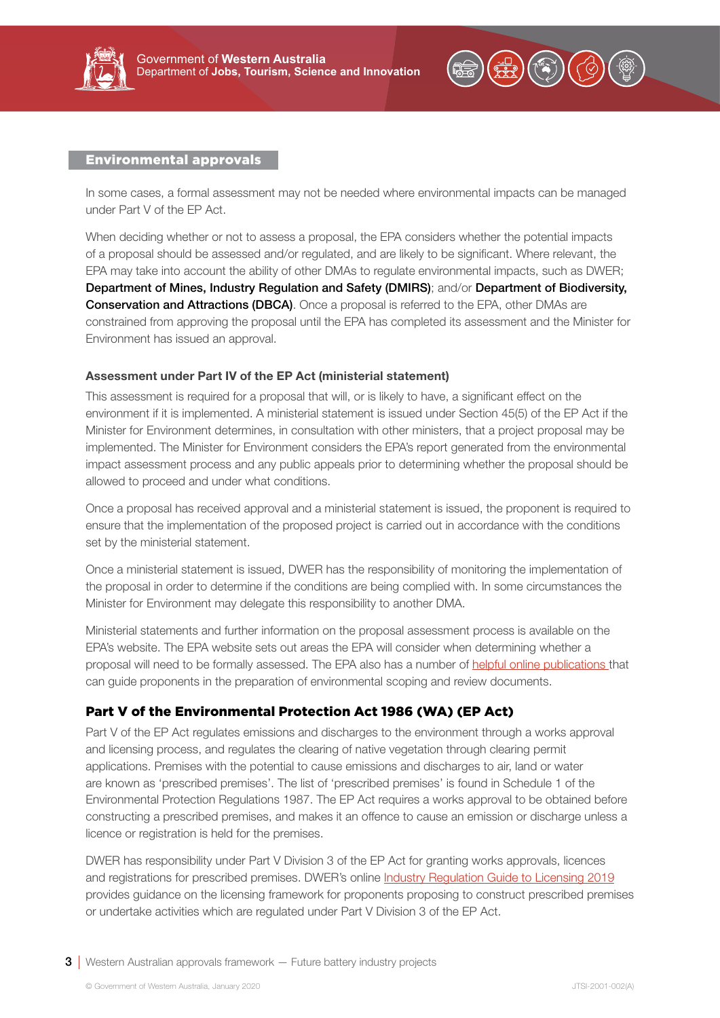<span id="page-2-0"></span>



In some cases, a formal assessment may not be needed where environmental impacts can be managed under Part V of the EP Act.

When deciding whether or not to assess a proposal, the EPA considers whether the potential impacts of a proposal should be assessed and/or regulated, and are likely to be significant. Where relevant, the EPA may take into account the ability of other DMAs to regulate environmental impacts, such as DWER; Department of Mines, Industry Regulation and Safety (DMIRS); and/or Department of Biodiversity, **Conservation and Attractions (DBCA)**. Once a proposal is referred to the EPA, other DMAs are constrained from approving the proposal until the EPA has completed its assessment and the Minister for Environment has issued an approval.

#### Assessment under Part IV of the EP Act (ministerial statement)

This assessment is required for a proposal that will, or is likely to have, a significant effect on the environment if it is implemented. A ministerial statement is issued under Section 45(5) of the EP Act if the Minister for Environment determines, in consultation with other ministers, that a project proposal may be implemented. The Minister for Environment considers the EPA's report generated from the environmental impact assessment process and any public appeals prior to determining whether the proposal should be allowed to proceed and under what conditions.

Once a proposal has received approval and a ministerial statement is issued, the proponent is required to ensure that the implementation of the proposed project is carried out in accordance with the conditions set by the ministerial statement.

Once a ministerial statement is issued, DWER has the responsibility of monitoring the implementation of the proposal in order to determine if the conditions are being complied with. In some circumstances the Minister for Environment may delegate this responsibility to another DMA.

Ministerial statements and further information on the proposal assessment process is available on the EPA's website. The EPA website sets out areas the EPA will consider when determining whether a proposal will need to be formally assessed. The EPA also has a number of [helpful online publications](http://www.epa.wa.gov.au/templates-and-forms) that can guide proponents in the preparation of environmental scoping and review documents.

## Part V of the Environmental Protection Act 1986 (WA) (EP Act)

Part V of the EP Act regulates emissions and discharges to the environment through a works approval and licensing process, and regulates the clearing of native vegetation through clearing permit applications. Premises with the potential to cause emissions and discharges to air, land or water are known as 'prescribed premises'. The list of 'prescribed premises' is found in Schedule 1 of the Environmental Protection Regulations 1987. The EP Act requires a works approval to be obtained before constructing a prescribed premises, and makes it an offence to cause an emission or discharge unless a licence or registration is held for the premises.

DWER has responsibility under Part V Division 3 of the EP Act for granting works approvals, licences and registrations for prescribed premises. DWER's online [Industry Regulation Guide to Licensing 2019](https://www.der.wa.gov.au/images/documents/our-work/licences-and-works-approvals/licensing guidelines/Industry Regulation Guide to licensing  June 2019.pdf) provides guidance on the licensing framework for proponents proposing to construct prescribed premises or undertake activities which are regulated under Part V Division 3 of the EP Act.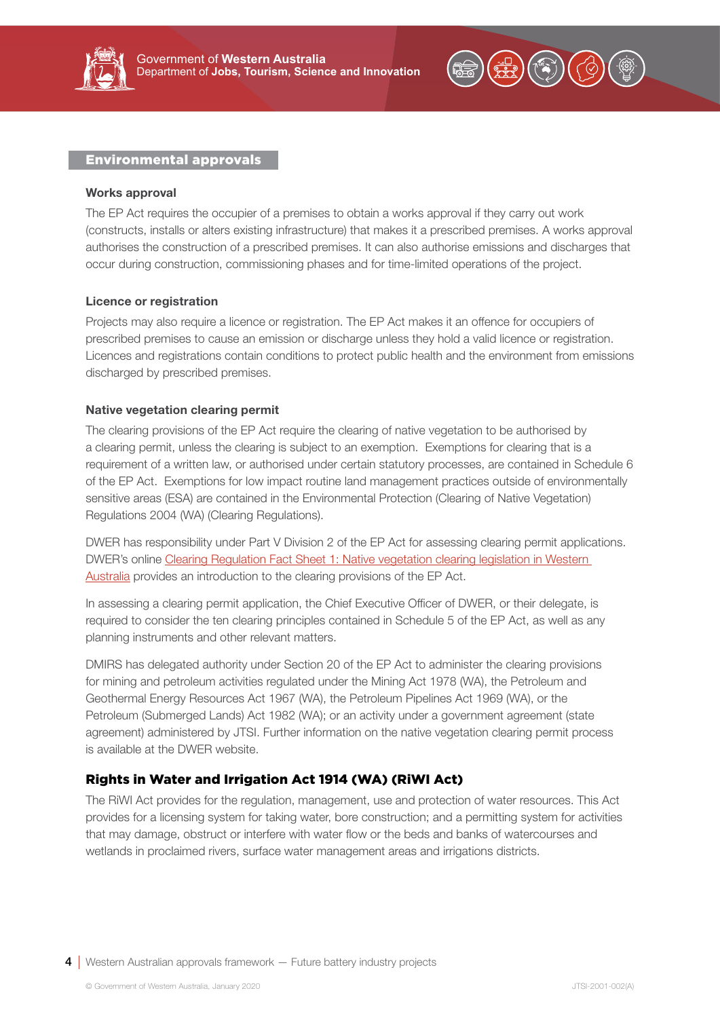<span id="page-3-0"></span>



#### Works approval

The EP Act requires the occupier of a premises to obtain a works approval if they carry out work (constructs, installs or alters existing infrastructure) that makes it a prescribed premises. A works approval authorises the construction of a prescribed premises. It can also authorise emissions and discharges that occur during construction, commissioning phases and for time-limited operations of the project.

#### Licence or registration

Projects may also require a licence or registration. The EP Act makes it an offence for occupiers of prescribed premises to cause an emission or discharge unless they hold a valid licence or registration. Licences and registrations contain conditions to protect public health and the environment from emissions discharged by prescribed premises.

#### Native vegetation clearing permit

The clearing provisions of the EP Act require the clearing of native vegetation to be authorised by a clearing permit, unless the clearing is subject to an exemption. Exemptions for clearing that is a requirement of a written law, or authorised under certain statutory processes, are contained in Schedule 6 of the EP Act. Exemptions for low impact routine land management practices outside of environmentally sensitive areas (ESA) are contained in the Environmental Protection (Clearing of Native Vegetation) Regulations 2004 (WA) (Clearing Regulations).

DWER has responsibility under Part V Division 2 of the EP Act for assessing clearing permit applications. DWER's online [Clearing Regulation Fact Sheet 1: Native vegetation clearing legislation in Western](https://www.der.wa.gov.au/images/documents/your-environment/native-vegetation/Fact_sheets/fs1_legislation.pdf)  [Australia](https://www.der.wa.gov.au/images/documents/your-environment/native-vegetation/Fact_sheets/fs1_legislation.pdf) provides an introduction to the clearing provisions of the EP Act.

In assessing a clearing permit application, the Chief Executive Officer of DWER, or their delegate, is required to consider the ten clearing principles contained in Schedule 5 of the EP Act, as well as any planning instruments and other relevant matters.

DMIRS has delegated authority under Section 20 of the EP Act to administer the clearing provisions for mining and petroleum activities regulated under the Mining Act 1978 (WA), the Petroleum and Geothermal Energy Resources Act 1967 (WA), the Petroleum Pipelines Act 1969 (WA), or the Petroleum (Submerged Lands) Act 1982 (WA); or an activity under a government agreement (state agreement) administered by JTSI. Further information on the native vegetation clearing permit process is available at the DWER website.

## Rights in Water and Irrigation Act 1914 (WA) (RiWI Act)

The RiWI Act provides for the regulation, management, use and protection of water resources. This Act provides for a licensing system for taking water, bore construction; and a permitting system for activities that may damage, obstruct or interfere with water flow or the beds and banks of watercourses and wetlands in proclaimed rivers, surface water management areas and irrigations districts.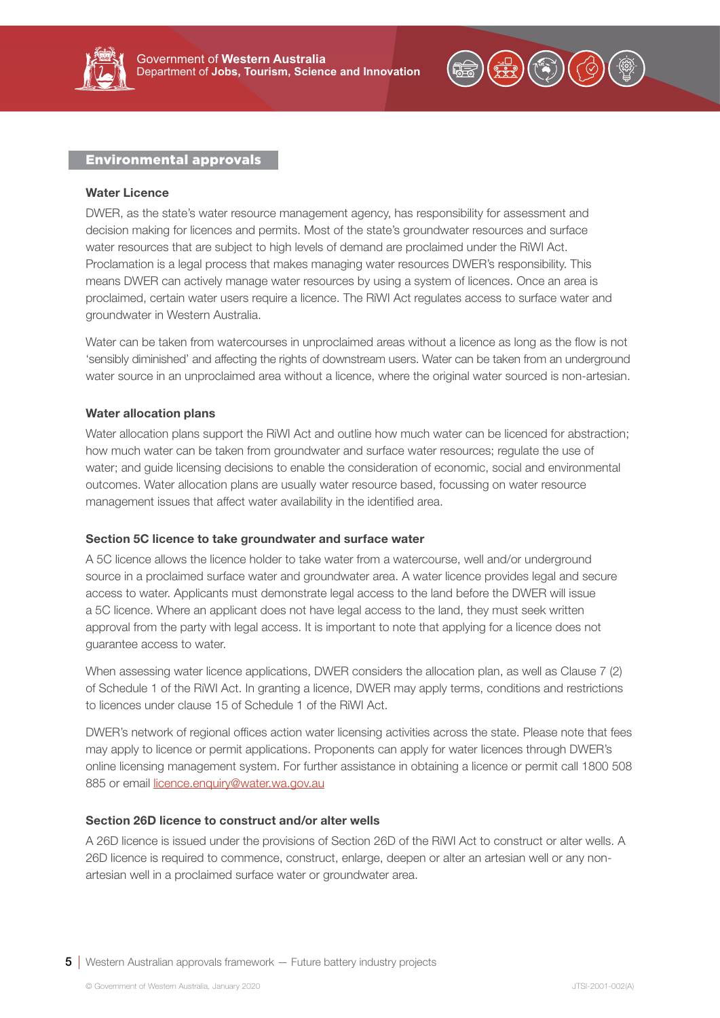



#### Water Licence

DWER, as the state's water resource management agency, has responsibility for assessment and decision making for licences and permits. Most of the state's groundwater resources and surface water resources that are subject to high levels of demand are proclaimed under the RiWI Act. Proclamation is a legal process that makes managing water resources DWER's responsibility. This means DWER can actively manage water resources by using a system of licences. Once an area is proclaimed, certain water users require a licence. The RiWI Act regulates access to surface water and groundwater in Western Australia.

Water can be taken from watercourses in unproclaimed areas without a licence as long as the flow is not 'sensibly diminished' and affecting the rights of downstream users. Water can be taken from an underground water source in an unproclaimed area without a licence, where the original water sourced is non-artesian.

#### Water allocation plans

Water allocation plans support the RiWI Act and outline how much water can be licenced for abstraction; how much water can be taken from groundwater and surface water resources; regulate the use of water; and guide licensing decisions to enable the consideration of economic, social and environmental outcomes. Water allocation plans are usually water resource based, focussing on water resource management issues that affect water availability in the identified area.

#### Section 5C licence to take groundwater and surface water

A 5C licence allows the licence holder to take water from a watercourse, well and/or underground source in a proclaimed surface water and groundwater area. A water licence provides legal and secure access to water. Applicants must demonstrate legal access to the land before the DWER will issue a 5C licence. Where an applicant does not have legal access to the land, they must seek written approval from the party with legal access. It is important to note that applying for a licence does not guarantee access to water.

When assessing water licence applications, DWER considers the allocation plan, as well as Clause 7 (2) of Schedule 1 of the RiWI Act. In granting a licence, DWER may apply terms, conditions and restrictions to licences under clause 15 of Schedule 1 of the RiWI Act.

DWER's network of regional offices action water licensing activities across the state. Please note that fees may apply to licence or permit applications. Proponents can apply for water licences through DWER's online licensing management system. For further assistance in obtaining a licence or permit call 1800 508 885 or email [licence.enquiry@water.wa.gov.au](mailto:licence.enquiry@water.wa.gov.au)

#### Section 26D licence to construct and/or alter wells

A 26D licence is issued under the provisions of Section 26D of the RiWI Act to construct or alter wells. A 26D licence is required to commence, construct, enlarge, deepen or alter an artesian well or any nonartesian well in a proclaimed surface water or groundwater area.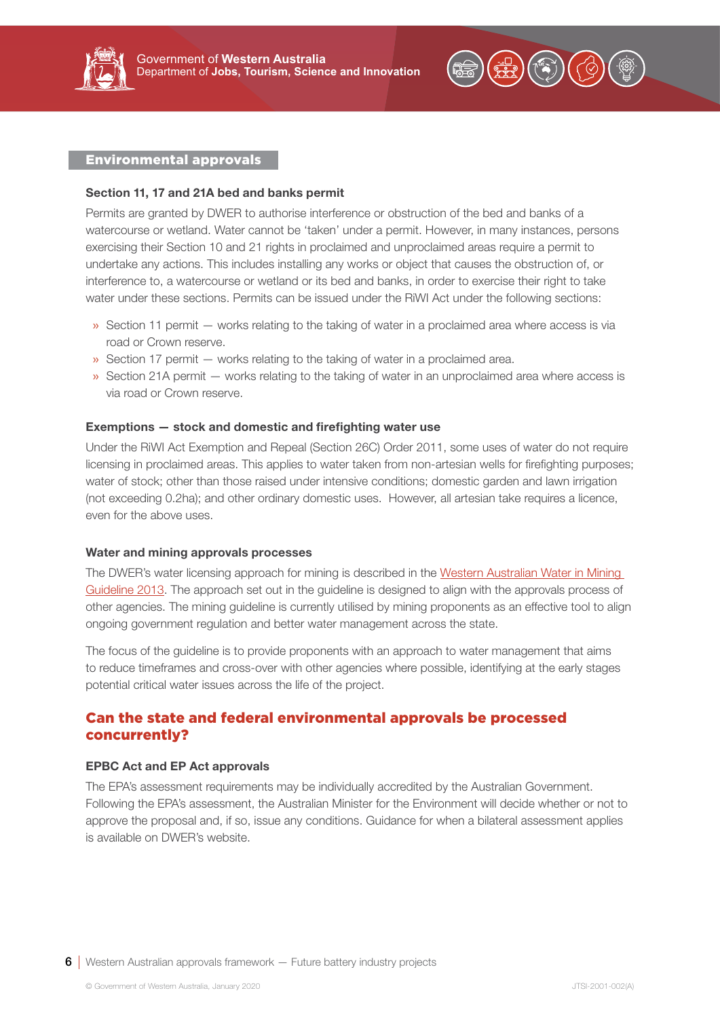<span id="page-5-0"></span>



#### Section 11, 17 and 21A bed and banks permit

Permits are granted by DWER to authorise interference or obstruction of the bed and banks of a watercourse or wetland. Water cannot be 'taken' under a permit. However, in many instances, persons exercising their Section 10 and 21 rights in proclaimed and unproclaimed areas require a permit to undertake any actions. This includes installing any works or object that causes the obstruction of, or interference to, a watercourse or wetland or its bed and banks, in order to exercise their right to take water under these sections. Permits can be issued under the RiWI Act under the following sections:

- » Section 11 permit works relating to the taking of water in a proclaimed area where access is via road or Crown reserve.
- » Section 17 permit works relating to the taking of water in a proclaimed area.
- » Section 21A permit works relating to the taking of water in an unproclaimed area where access is via road or Crown reserve.

#### Exemptions — stock and domestic and firefighting water use

Under the RiWI Act Exemption and Repeal (Section 26C) Order 2011, some uses of water do not require licensing in proclaimed areas. This applies to water taken from non-artesian wells for firefighting purposes; water of stock; other than those raised under intensive conditions; domestic garden and lawn irrigation (not exceeding 0.2ha); and other ordinary domestic uses. However, all artesian take requires a licence, even for the above uses.

#### Water and mining approvals processes

The DWER's water licensing approach for mining is described in the [Western Australian Water in Mining](https://www.water.wa.gov.au/__data/assets/pdf_file/0019/1819/105195.pdf)  [Guideline 2013.](https://www.water.wa.gov.au/__data/assets/pdf_file/0019/1819/105195.pdf) The approach set out in the guideline is designed to align with the approvals process of other agencies. The mining guideline is currently utilised by mining proponents as an effective tool to align ongoing government regulation and better water management across the state.

The focus of the guideline is to provide proponents with an approach to water management that aims to reduce timeframes and cross-over with other agencies where possible, identifying at the early stages potential critical water issues across the life of the project.

# Can the state and federal environmental approvals be processed concurrently?

#### EPBC Act and EP Act approvals

The EPA's assessment requirements may be individually accredited by the Australian Government. Following the EPA's assessment, the Australian Minister for the Environment will decide whether or not to approve the proposal and, if so, issue any conditions. Guidance for when a bilateral assessment applies is available on DWER's website.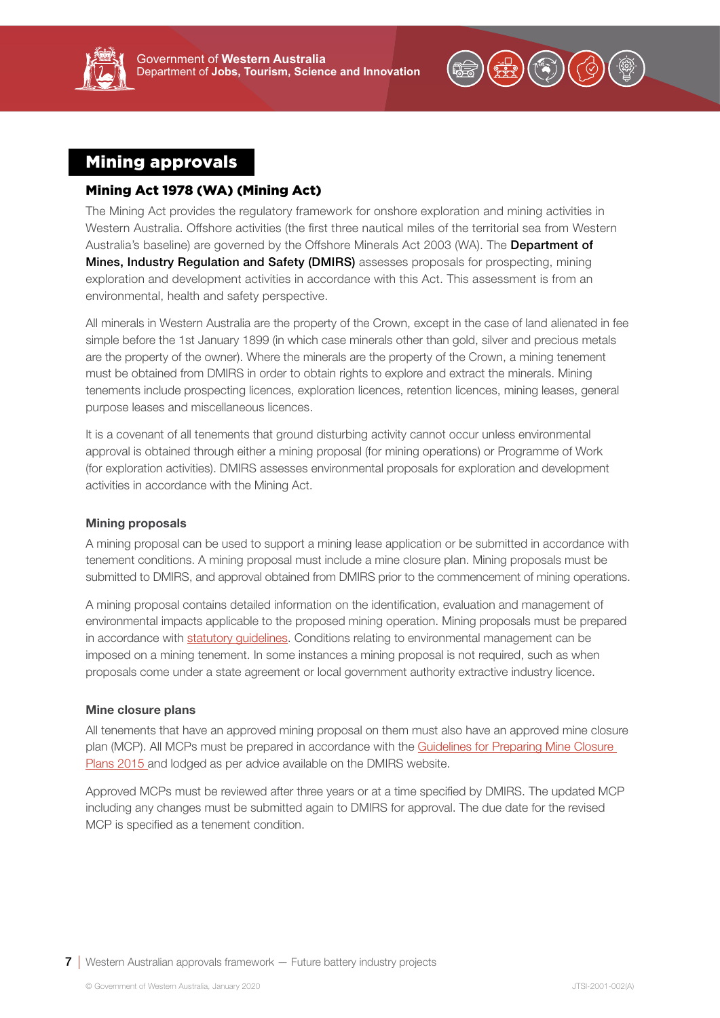<span id="page-6-0"></span>



# Mining approvals

# Mining Act 1978 (WA) (Mining Act)

The Mining Act provides the regulatory framework for onshore exploration and mining activities in Western Australia. Offshore activities (the first three nautical miles of the territorial sea from Western Australia's baseline) are governed by the Offshore Minerals Act 2003 (WA). The Department of Mines, Industry Regulation and Safety (DMIRS) assesses proposals for prospecting, mining exploration and development activities in accordance with this Act. This assessment is from an environmental, health and safety perspective.

All minerals in Western Australia are the property of the Crown, except in the case of land alienated in fee simple before the 1st January 1899 (in which case minerals other than gold, silver and precious metals are the property of the owner). Where the minerals are the property of the Crown, a mining tenement must be obtained from DMIRS in order to obtain rights to explore and extract the minerals. Mining tenements include prospecting licences, exploration licences, retention licences, mining leases, general purpose leases and miscellaneous licences.

It is a covenant of all tenements that ground disturbing activity cannot occur unless environmental approval is obtained through either a mining proposal (for mining operations) or Programme of Work (for exploration activities). DMIRS assesses environmental proposals for exploration and development activities in accordance with the Mining Act.

#### Mining proposals

A mining proposal can be used to support a mining lease application or be submitted in accordance with tenement conditions. A mining proposal must include a mine closure plan. Mining proposals must be submitted to DMIRS, and approval obtained from DMIRS prior to the commencement of mining operations.

A mining proposal contains detailed information on the identification, evaluation and management of environmental impacts applicable to the proposed mining operation. Mining proposals must be prepared in accordance with [statutory guidelines.](http://www.dmp.wa.gov.au/Environment/Mining-proposals-5993.aspx) Conditions relating to environmental management can be imposed on a mining tenement. In some instances a mining proposal is not required, such as when proposals come under a state agreement or local government authority extractive industry licence.

#### Mine closure plans

All tenements that have an approved mining proposal on them must also have an approved mine closure plan (MCP). All MCPs must be prepared in accordance with the Guidelines for Preparing Mine Closure [Plans 2015](https://www.dmp.wa.gov.au/Documents/Environment/ENV-MEB-121.pdf) and lodged as per advice available on the DMIRS website.

Approved MCPs must be reviewed after three years or at a time specified by DMIRS. The updated MCP including any changes must be submitted again to DMIRS for approval. The due date for the revised MCP is specified as a tenement condition.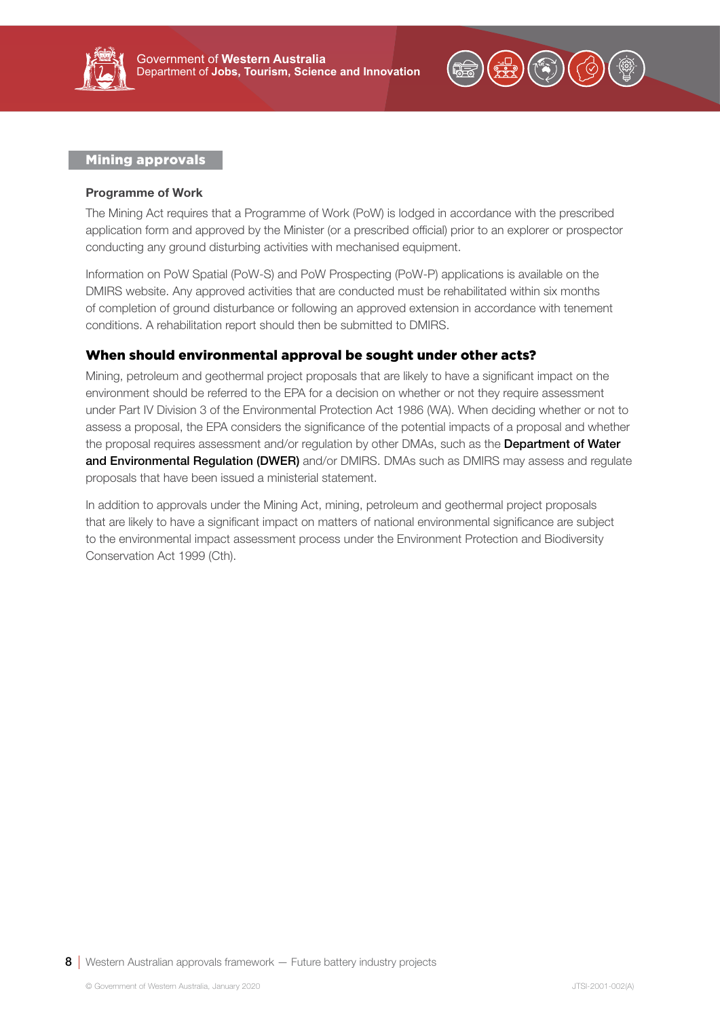<span id="page-7-0"></span>



#### Mining approvals

#### Programme of Work

The Mining Act requires that a Programme of Work (PoW) is lodged in accordance with the prescribed application form and approved by the Minister (or a prescribed official) prior to an explorer or prospector conducting any ground disturbing activities with mechanised equipment.

Information on PoW Spatial (PoW-S) and PoW Prospecting (PoW-P) applications is available on the DMIRS website. Any approved activities that are conducted must be rehabilitated within six months of completion of ground disturbance or following an approved extension in accordance with tenement conditions. A rehabilitation report should then be submitted to DMIRS.

## When should environmental approval be sought under other acts?

Mining, petroleum and geothermal project proposals that are likely to have a significant impact on the environment should be referred to the EPA for a decision on whether or not they require assessment under Part IV Division 3 of the Environmental Protection Act 1986 (WA). When deciding whether or not to assess a proposal, the EPA considers the significance of the potential impacts of a proposal and whether the proposal requires assessment and/or requlation by other DMAs, such as the Department of Water and Environmental Regulation (DWER) and/or DMIRS. DMAs such as DMIRS may assess and regulate proposals that have been issued a ministerial statement.

In addition to approvals under the Mining Act, mining, petroleum and geothermal project proposals that are likely to have a significant impact on matters of national environmental significance are subject to the environmental impact assessment process under the Environment Protection and Biodiversity Conservation Act 1999 (Cth).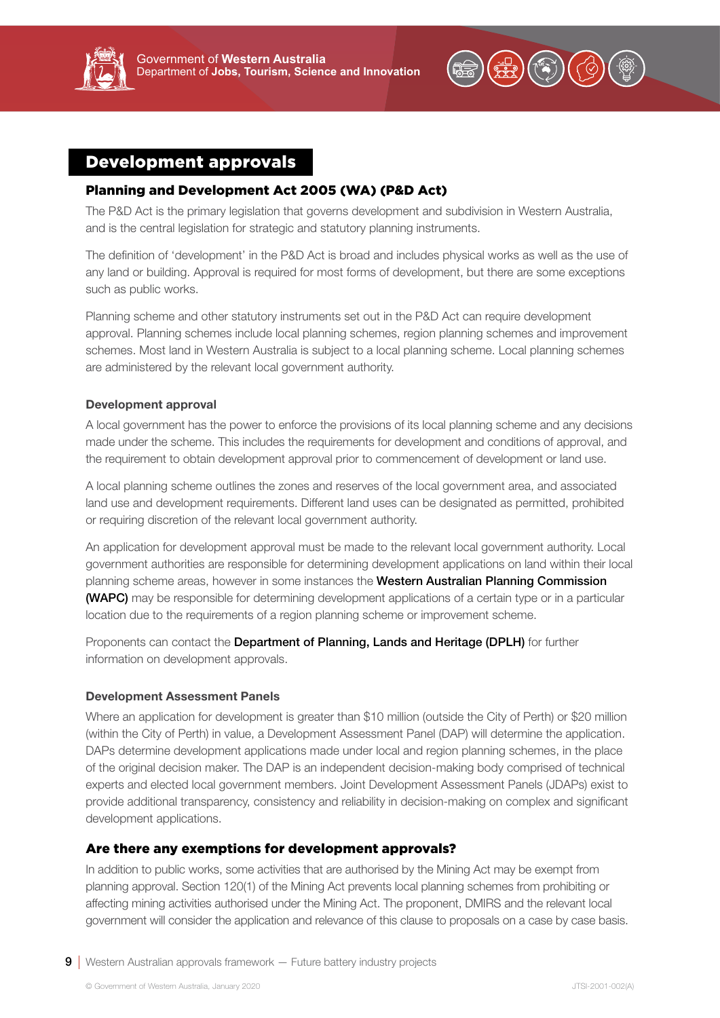<span id="page-8-0"></span>



# Development approvals

## Planning and Development Act 2005 (WA) (P&D Act)

The P&D Act is the primary legislation that governs development and subdivision in Western Australia, and is the central legislation for strategic and statutory planning instruments.

The definition of 'development' in the P&D Act is broad and includes physical works as well as the use of any land or building. Approval is required for most forms of development, but there are some exceptions such as public works.

Planning scheme and other statutory instruments set out in the P&D Act can require development approval. Planning schemes include local planning schemes, region planning schemes and improvement schemes. Most land in Western Australia is subject to a local planning scheme. Local planning schemes are administered by the relevant local government authority.

#### Development approval

A local government has the power to enforce the provisions of its local planning scheme and any decisions made under the scheme. This includes the requirements for development and conditions of approval, and the requirement to obtain development approval prior to commencement of development or land use.

A local planning scheme outlines the zones and reserves of the local government area, and associated land use and development requirements. Different land uses can be designated as permitted, prohibited or requiring discretion of the relevant local government authority.

An application for development approval must be made to the relevant local government authority. Local government authorities are responsible for determining development applications on land within their local planning scheme areas, however in some instances the Western Australian Planning Commission (WAPC) may be responsible for determining development applications of a certain type or in a particular location due to the requirements of a region planning scheme or improvement scheme.

Proponents can contact the Department of Planning, Lands and Heritage (DPLH) for further information on development approvals.

#### Development Assessment Panels

Where an application for development is greater than \$10 million (outside the City of Perth) or \$20 million (within the City of Perth) in value, a Development Assessment Panel (DAP) will determine the application. DAPs determine development applications made under local and region planning schemes, in the place of the original decision maker. The DAP is an independent decision-making body comprised of technical experts and elected local government members. Joint Development Assessment Panels (JDAPs) exist to provide additional transparency, consistency and reliability in decision-making on complex and significant development applications.

## Are there any exemptions for development approvals?

In addition to public works, some activities that are authorised by the Mining Act may be exempt from planning approval. Section 120(1) of the Mining Act prevents local planning schemes from prohibiting or affecting mining activities authorised under the Mining Act. The proponent, DMIRS and the relevant local government will consider the application and relevance of this clause to proposals on a case by case basis.

9 Western Australian approvals framework – Future battery industry projects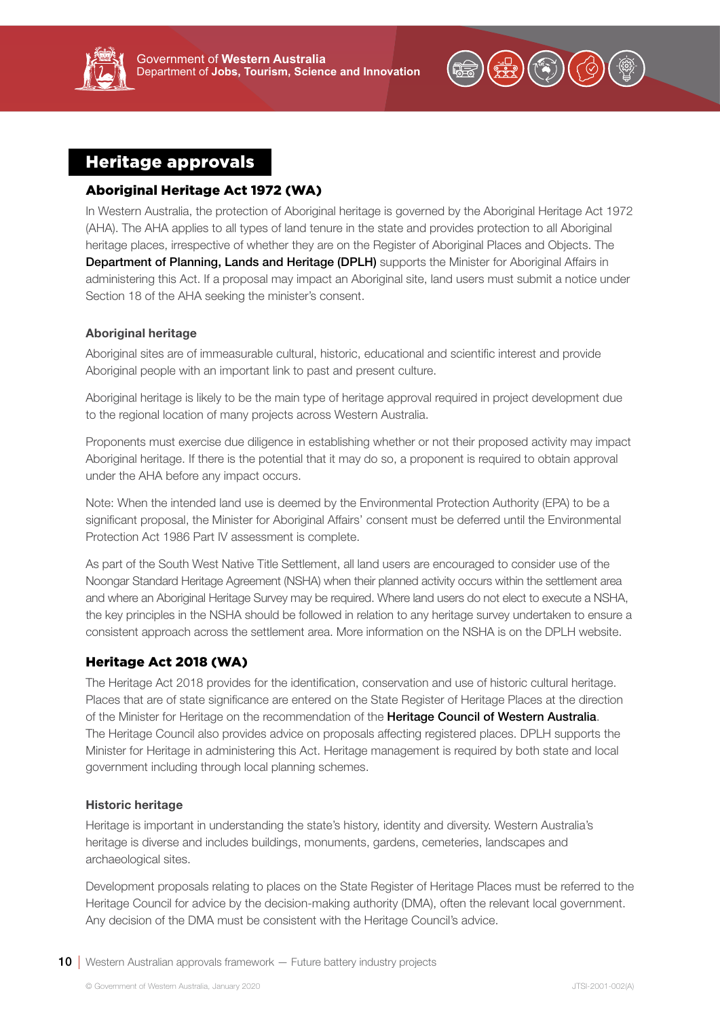

# <span id="page-9-0"></span>Heritage approvals

# Aboriginal Heritage Act 1972 (WA)

In Western Australia, the protection of Aboriginal heritage is governed by the Aboriginal Heritage Act 1972 (AHA). The AHA applies to all types of land tenure in the state and provides protection to all Aboriginal heritage places, irrespective of whether they are on the Register of Aboriginal Places and Objects. The Department of Planning, Lands and Heritage (DPLH) supports the Minister for Aboriginal Affairs in administering this Act. If a proposal may impact an Aboriginal site, land users must submit a notice under Section 18 of the AHA seeking the minister's consent.

## Aboriginal heritage

Aboriginal sites are of immeasurable cultural, historic, educational and scientific interest and provide Aboriginal people with an important link to past and present culture.

Aboriginal heritage is likely to be the main type of heritage approval required in project development due to the regional location of many projects across Western Australia.

Proponents must exercise due diligence in establishing whether or not their proposed activity may impact Aboriginal heritage. If there is the potential that it may do so, a proponent is required to obtain approval under the AHA before any impact occurs.

Note: When the intended land use is deemed by the Environmental Protection Authority (EPA) to be a significant proposal, the Minister for Aboriginal Affairs' consent must be deferred until the Environmental Protection Act 1986 Part IV assessment is complete.

As part of the South West Native Title Settlement, all land users are encouraged to consider use of the Noongar Standard Heritage Agreement (NSHA) when their planned activity occurs within the settlement area and where an Aboriginal Heritage Survey may be required. Where land users do not elect to execute a NSHA, the key principles in the NSHA should be followed in relation to any heritage survey undertaken to ensure a consistent approach across the settlement area. More information on the NSHA is on the DPLH website.

# Heritage Act 2018 (WA)

The Heritage Act 2018 provides for the identification, conservation and use of historic cultural heritage. Places that are of state significance are entered on the State Register of Heritage Places at the direction of the Minister for Heritage on the recommendation of the Heritage Council of Western Australia. The Heritage Council also provides advice on proposals affecting registered places. DPLH supports the Minister for Heritage in administering this Act. Heritage management is required by both state and local government including through local planning schemes.

## Historic heritage

Heritage is important in understanding the state's history, identity and diversity. Western Australia's heritage is diverse and includes buildings, monuments, gardens, cemeteries, landscapes and archaeological sites.

Development proposals relating to places on the State Register of Heritage Places must be referred to the Heritage Council for advice by the decision-making authority (DMA), often the relevant local government. Any decision of the DMA must be consistent with the Heritage Council's advice.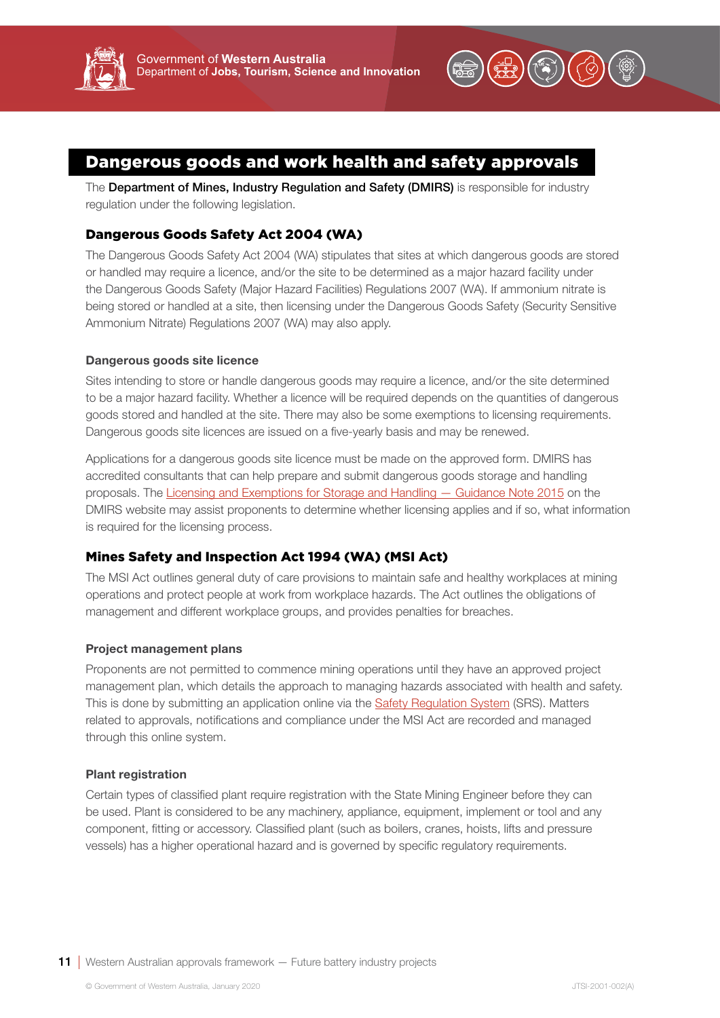<span id="page-10-0"></span>



# Dangerous goods and work health and safety approvals

The Department of Mines, Industry Regulation and Safety (DMIRS) is responsible for industry regulation under the following legislation.

# Dangerous Goods Safety Act 2004 (WA)

The Dangerous Goods Safety Act 2004 (WA) stipulates that sites at which dangerous goods are stored or handled may require a licence, and/or the site to be determined as a major hazard facility under the Dangerous Goods Safety (Major Hazard Facilities) Regulations 2007 (WA). If ammonium nitrate is being stored or handled at a site, then licensing under the Dangerous Goods Safety (Security Sensitive Ammonium Nitrate) Regulations 2007 (WA) may also apply.

## Dangerous goods site licence

Sites intending to store or handle dangerous goods may require a licence, and/or the site determined to be a major hazard facility. Whether a licence will be required depends on the quantities of dangerous goods stored and handled at the site. There may also be some exemptions to licensing requirements. Dangerous goods site licences are issued on a five-yearly basis and may be renewed.

Applications for a dangerous goods site licence must be made on the approved form. DMIRS has accredited consultants that can help prepare and submit dangerous goods storage and handling proposals. The [Licensing and Exemptions for Storage and Handling — Guidance Note 2015](https://www.dmp.wa.gov.au/Documents/Dangerous-Goods/DGS_GN_LicensingAndExemptionsStorageAndHandling.pdf) on the DMIRS website may assist proponents to determine whether licensing applies and if so, what information is required for the licensing process.

# Mines Safety and Inspection Act 1994 (WA) (MSI Act)

The MSI Act outlines general duty of care provisions to maintain safe and healthy workplaces at mining operations and protect people at work from workplace hazards. The Act outlines the obligations of management and different workplace groups, and provides penalties for breaches.

## Project management plans

Proponents are not permitted to commence mining operations until they have an approved project management plan, which details the approach to managing hazards associated with health and safety. This is done by submitting an application online via the [Safety Regulation System](https://www.dmp.wa.gov.au/Safety-Regulation-System-SRS-1486.aspx) (SRS). Matters related to approvals, notifications and compliance under the MSI Act are recorded and managed through this online system.

## Plant registration

Certain types of classified plant require registration with the State Mining Engineer before they can be used. Plant is considered to be any machinery, appliance, equipment, implement or tool and any component, fitting or accessory. Classified plant (such as boilers, cranes, hoists, lifts and pressure vessels) has a higher operational hazard and is governed by specific regulatory requirements.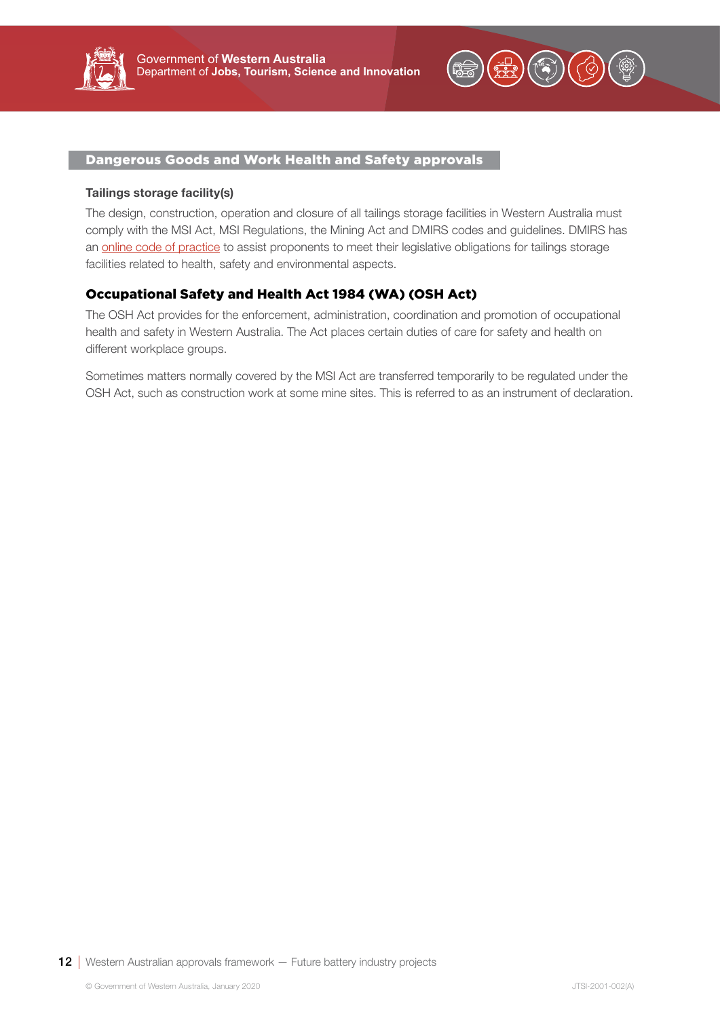<span id="page-11-0"></span>



### Dangerous Goods and Work Health and Safety approvals

#### Tailings storage facility(s)

The design, construction, operation and closure of all tailings storage facilities in Western Australia must comply with the MSI Act, MSI Regulations, the Mining Act and DMIRS codes and guidelines. DMIRS has an [online code of practice](http://www.dmp.wa.gov.au/Documents/Safety/MSH_COP_TailingsStorageFacilities.pdf) to assist proponents to meet their legislative obligations for tailings storage facilities related to health, safety and environmental aspects.

# Occupational Safety and Health Act 1984 (WA) (OSH Act)

The OSH Act provides for the enforcement, administration, coordination and promotion of occupational health and safety in Western Australia. The Act places certain duties of care for safety and health on different workplace groups.

Sometimes matters normally covered by the MSI Act are transferred temporarily to be regulated under the OSH Act, such as construction work at some mine sites. This is referred to as an instrument of declaration.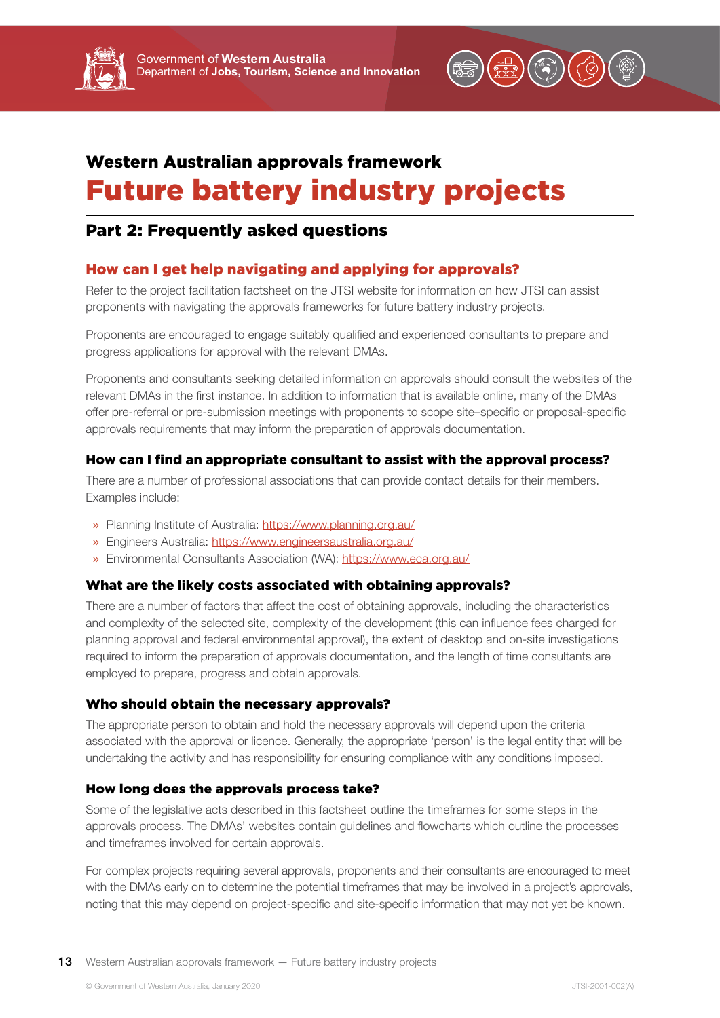

# <span id="page-12-0"></span>Western Australian approvals framework Future battery industry projects

# Part 2: Frequently asked questions

# How can I get help navigating and applying for approvals?

Refer to the project facilitation factsheet on the JTSI website for information on how JTSI can assist proponents with navigating the approvals frameworks for future battery industry projects.

Proponents are encouraged to engage suitably qualified and experienced consultants to prepare and progress applications for approval with the relevant DMAs.

Proponents and consultants seeking detailed information on approvals should consult the websites of the relevant DMAs in the first instance. In addition to information that is available online, many of the DMAs offer pre-referral or pre-submission meetings with proponents to scope site–specific or proposal-specific approvals requirements that may inform the preparation of approvals documentation.

# How can I find an appropriate consultant to assist with the approval process?

There are a number of professional associations that can provide contact details for their members. Examples include:

- » Planning Institute of Australia:<https://www.planning.org.au/>
- » Engineers Australia:<https://www.engineersaustralia.org.au/>
- » Environmental Consultants Association (WA):<https://www.eca.org.au/>

# What are the likely costs associated with obtaining approvals?

There are a number of factors that affect the cost of obtaining approvals, including the characteristics and complexity of the selected site, complexity of the development (this can influence fees charged for planning approval and federal environmental approval), the extent of desktop and on-site investigations required to inform the preparation of approvals documentation, and the length of time consultants are employed to prepare, progress and obtain approvals.

# Who should obtain the necessary approvals?

The appropriate person to obtain and hold the necessary approvals will depend upon the criteria associated with the approval or licence. Generally, the appropriate 'person' is the legal entity that will be undertaking the activity and has responsibility for ensuring compliance with any conditions imposed.

# How long does the approvals process take?

Some of the legislative acts described in this factsheet outline the timeframes for some steps in the approvals process. The DMAs' websites contain guidelines and flowcharts which outline the processes and timeframes involved for certain approvals.

For complex projects requiring several approvals, proponents and their consultants are encouraged to meet with the DMAs early on to determine the potential timeframes that may be involved in a project's approvals, noting that this may depend on project-specific and site-specific information that may not yet be known.